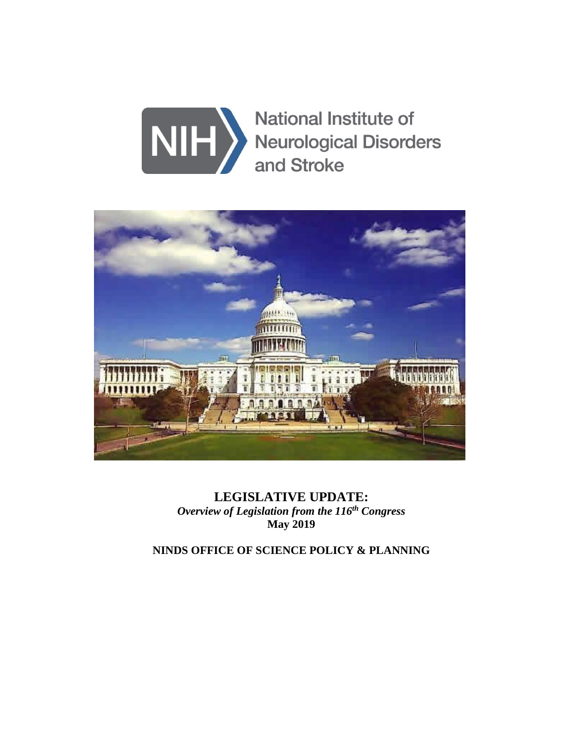



**LEGISLATIVE UPDATE:** *Overview of Legislation from the 116 th Congress* **May 2019**

**NINDS OFFICE OF SCIENCE POLICY & PLANNING**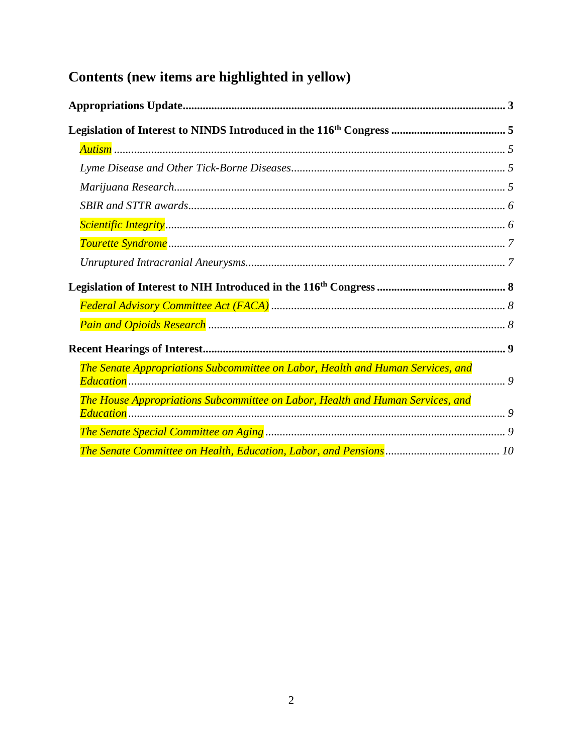# Contents (new items are highlighted in yellow)

| The Senate Appropriations Subcommittee on Labor, Health and Human Services, and |  |
|---------------------------------------------------------------------------------|--|
| The House Appropriations Subcommittee on Labor, Health and Human Services, and  |  |
|                                                                                 |  |
|                                                                                 |  |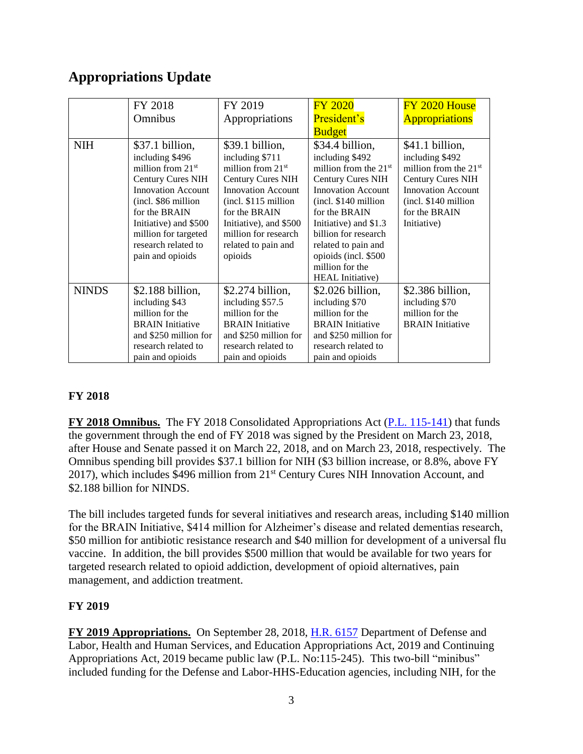# <span id="page-2-0"></span>**Appropriations Update**

|              | FY 2018                                                                                                                                                                                                                                                 | FY 2019                                                                                                                                                                                                                                          | <b>FY 2020</b>                                                                                                                                                                                                                                                                     | FY 2020 House                                                                                                                                                                  |
|--------------|---------------------------------------------------------------------------------------------------------------------------------------------------------------------------------------------------------------------------------------------------------|--------------------------------------------------------------------------------------------------------------------------------------------------------------------------------------------------------------------------------------------------|------------------------------------------------------------------------------------------------------------------------------------------------------------------------------------------------------------------------------------------------------------------------------------|--------------------------------------------------------------------------------------------------------------------------------------------------------------------------------|
|              | Omnibus                                                                                                                                                                                                                                                 | Appropriations                                                                                                                                                                                                                                   | President's                                                                                                                                                                                                                                                                        | <b>Appropriations</b>                                                                                                                                                          |
|              |                                                                                                                                                                                                                                                         |                                                                                                                                                                                                                                                  | <b>Budget</b>                                                                                                                                                                                                                                                                      |                                                                                                                                                                                |
| <b>NIH</b>   | \$37.1 billion,<br>including \$496<br>million from $21st$<br><b>Century Cures NIH</b><br><b>Innovation Account</b><br>(incl. \$86 million)<br>for the BRAIN<br>Initiative) and \$500<br>million for targeted<br>research related to<br>pain and opioids | \$39.1 billion,<br>including \$711<br>million from $21st$<br><b>Century Cures NIH</b><br><b>Innovation Account</b><br>$(incl. $115$ million<br>for the BRAIN<br>Initiative), and \$500<br>million for research<br>related to pain and<br>opioids | \$34.4 billion,<br>including \$492<br>million from the $21st$<br><b>Century Cures NIH</b><br><b>Innovation Account</b><br>(incl. \$140 million<br>for the BRAIN<br>Initiative) and \$1.3<br>billion for research<br>related to pain and<br>opioids (incl. \$500<br>million for the | \$41.1 billion,<br>including \$492<br>million from the $21st$<br><b>Century Cures NIH</b><br><b>Innovation Account</b><br>(incl. \$140 million<br>for the BRAIN<br>Initiative) |
| <b>NINDS</b> | $$2.188$ billion,<br>including \$43<br>million for the<br><b>BRAIN</b> Initiative<br>and \$250 million for<br>research related to<br>pain and opioids                                                                                                   | \$2.274 billion,<br>including \$57.5<br>million for the<br><b>BRAIN</b> Initiative<br>and \$250 million for<br>research related to<br>pain and opioids                                                                                           | <b>HEAL</b> Initiative)<br>$$2.026$ billion,<br>including \$70<br>million for the<br><b>BRAIN</b> Initiative<br>and \$250 million for<br>research related to<br>pain and opioids                                                                                                   | \$2.386 billion,<br>including \$70<br>million for the<br><b>BRAIN</b> Initiative                                                                                               |

# **FY 2018**

**FY 2018 Omnibus.** The FY 2018 Consolidated Appropriations Act [\(P.L. 115-141\)](https://www.congress.gov/bill/115th-congress/house-bill/1625/text) that funds the government through the end of FY 2018 was signed by the President on March 23, 2018, after House and Senate passed it on March 22, 2018, and on March 23, 2018, respectively. The Omnibus spending bill provides \$37.1 billion for NIH (\$3 billion increase, or 8.8%, above FY 2017), which includes \$496 million from 21<sup>st</sup> Century Cures NIH Innovation Account, and \$2.188 billion for NINDS.

The bill includes targeted funds for several initiatives and research areas, including \$140 million for the BRAIN Initiative, \$414 million for Alzheimer's disease and related dementias research, \$50 million for antibiotic resistance research and \$40 million for development of a universal flu vaccine. In addition, the bill provides \$500 million that would be available for two years for targeted research related to opioid addiction, development of opioid alternatives, pain management, and addiction treatment.

### **FY 2019**

**FY 2019 Appropriations.** On September 28, 2018, [H.R. 6157](https://www.congress.gov/bill/115th-congress/house-bill/6157/text) Department of Defense and Labor, Health and Human Services, and Education Appropriations Act, 2019 and Continuing Appropriations Act, 2019 became public law (P.L. No:115-245). This two-bill "minibus" included funding for the Defense and Labor-HHS-Education agencies, including NIH, for the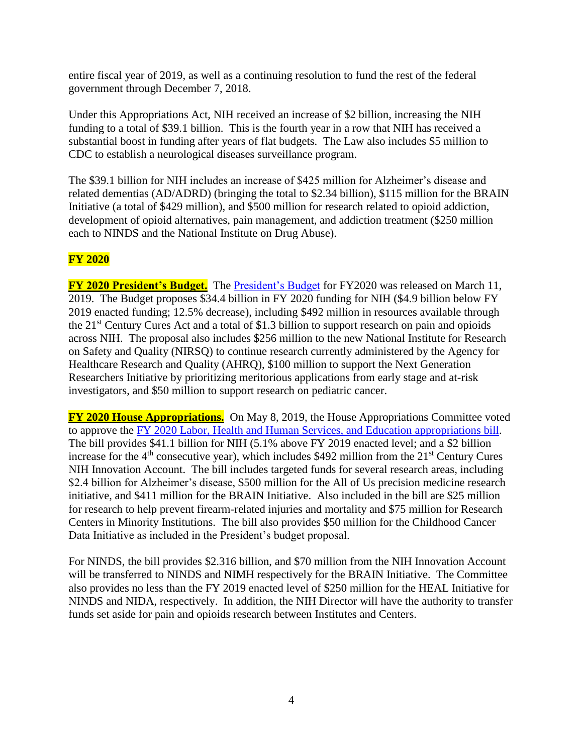entire fiscal year of 2019, as well as a continuing resolution to fund the rest of the federal government through December 7, 2018.

Under this Appropriations Act, NIH received an increase of \$2 billion, increasing the NIH funding to a total of \$39.1 billion. This is the fourth year in a row that NIH has received a substantial boost in funding after years of flat budgets. The Law also includes \$5 million to CDC to establish a neurological diseases surveillance program.

The \$39.1 billion for NIH includes an increase of \$425 million for Alzheimer's disease and related dementias (AD/ADRD) (bringing the total to \$2.34 billion), \$115 million for the BRAIN Initiative (a total of \$429 million), and \$500 million for research related to opioid addiction, development of opioid alternatives, pain management, and addiction treatment (\$250 million each to NINDS and the National Institute on Drug Abuse).

# **FY 2020**

**FY 2020 President's Budget.** The [President's Budget](https://www.hhs.gov/sites/default/files/fy-2020-budget-in-brief.pdf) for FY2020 was released on March 11, 2019. The Budget proposes \$34.4 billion in FY 2020 funding for NIH (\$4.9 billion below FY 2019 enacted funding; 12.5% decrease), including \$492 million in resources available through the 21<sup>st</sup> Century Cures Act and a total of \$1.3 billion to support research on pain and opioids across NIH. The proposal also includes \$256 million to the new National Institute for Research on Safety and Quality (NIRSQ) to continue research currently administered by the Agency for Healthcare Research and Quality (AHRQ), \$100 million to support the Next Generation Researchers Initiative by prioritizing meritorious applications from early stage and at-risk investigators, and \$50 million to support research on pediatric cancer.

**FY 2020 House Appropriations.** On May 8, 2019, the House Appropriations Committee voted to approve the [FY 2020 Labor, Health and Human Services, and Education appropriations bill.](https://appropriations.house.gov/sites/democrats.appropriations.house.gov/files/FY2020%20LHHS%20Sub%20Markup%20Draft.pdf) The bill provides \$41.1 billion for NIH (5.1% above FY 2019 enacted level; and a \$2 billion increase for the  $4<sup>th</sup>$  consecutive year), which includes \$492 million from the  $21<sup>st</sup>$  Century Cures NIH Innovation Account. The bill includes targeted funds for several research areas, including \$2.4 billion for Alzheimer's disease, \$500 million for the All of Us precision medicine research initiative, and \$411 million for the BRAIN Initiative. Also included in the bill are \$25 million for research to help prevent firearm-related injuries and mortality and \$75 million for Research Centers in Minority Institutions. The bill also provides \$50 million for the Childhood Cancer Data Initiative as included in the President's budget proposal.

For NINDS, the bill provides \$2.316 billion, and \$70 million from the NIH Innovation Account will be transferred to NINDS and NIMH respectively for the BRAIN Initiative. The Committee also provides no less than the FY 2019 enacted level of \$250 million for the HEAL Initiative for NINDS and NIDA, respectively. In addition, the NIH Director will have the authority to transfer funds set aside for pain and opioids research between Institutes and Centers.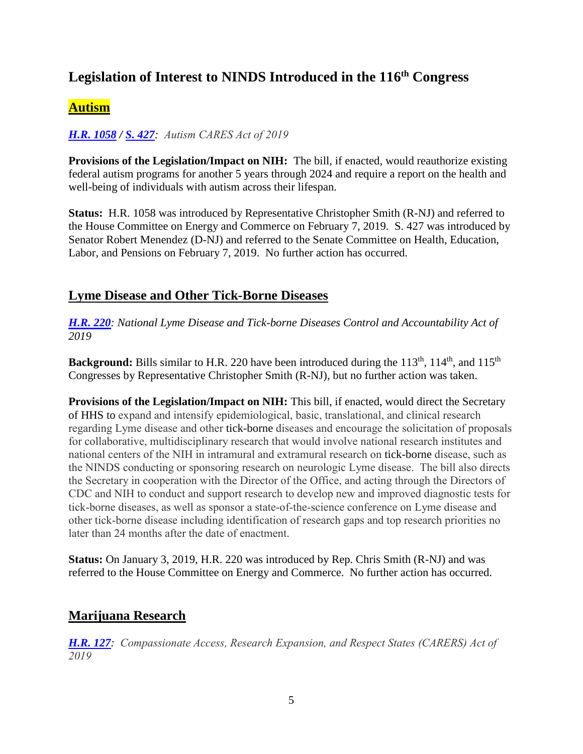# <span id="page-4-0"></span>**Legislation of Interest to NINDS Introduced in the 116 th Congress**

# <span id="page-4-1"></span>**Autism**

# *[H.R. 1058](https://www.congress.gov/bill/116th-congress/house-bill/1058/text) / [S. 427](https://www.congress.gov/bill/116th-congress/senate-bill/427/text): Autism CARES Act of 2019*

**Provisions of the Legislation/Impact on NIH:** The bill, if enacted, would reauthorize existing federal autism programs for another 5 years through 2024 and require a report on the health and well-being of individuals with autism across their lifespan.

**Status:** H.R. 1058 was introduced by Representative Christopher Smith (R-NJ) and referred to the House Committee on Energy and Commerce on February 7, 2019. S. 427 was introduced by Senator Robert Menendez (D-NJ) and referred to the Senate Committee on Health, Education, Labor, and Pensions on February 7, 2019. No further action has occurred.

# <span id="page-4-2"></span>**Lyme Disease and Other Tick-Borne Diseases**

*[H.R.](https://www.congress.gov/bill/116th-congress/house-bill/220?q=%7B%22search%22%3A%5B%22%5C%22tick-borne%5C%22%22%5D%7D&s=3&r=1) 220: National Lyme Disease and Tick-borne Diseases Control and Accountability Act of 2019*

**Background:** Bills similar to H.R. 220 have been introduced during the 113<sup>th</sup>, 114<sup>th</sup>, and 115<sup>th</sup> Congresses by Representative Christopher Smith (R-NJ), but no further action was taken.

**Provisions of the Legislation/Impact on NIH:** This bill, if enacted, would direct the Secretary of HHS to expand and intensify epidemiological, basic, translational, and clinical research regarding Lyme disease and other tick-borne diseases and encourage the solicitation of proposals for collaborative, multidisciplinary research that would involve national research institutes and national centers of the NIH in intramural and extramural research on tick-borne disease, such as the NINDS conducting or sponsoring research on neurologic Lyme disease. The bill also directs the Secretary in cooperation with the Director of the Office, and acting through the Directors of CDC and NIH to conduct and support research to develop new and improved diagnostic tests for tick-borne diseases, as well as sponsor a state-of-the-science conference on Lyme disease and other tick-borne disease including identification of research gaps and top research priorities no later than 24 months after the date of enactment.

**Status:** On January 3, 2019, H.R. 220 was introduced by Rep. Chris Smith (R-NJ) and was referred to the House Committee on Energy and Commerce. No further action has occurred.

# <span id="page-4-3"></span>**Marijuana Research**

*[H.R. 127](https://www.congress.gov/bill/116th-congress/house-bill/127?q=%7B%22search%22%3A%5B%22CARERS%22%5D%7D&s=5&r=1): Compassionate Access, Research Expansion, and Respect States (CARERS) Act of 2019*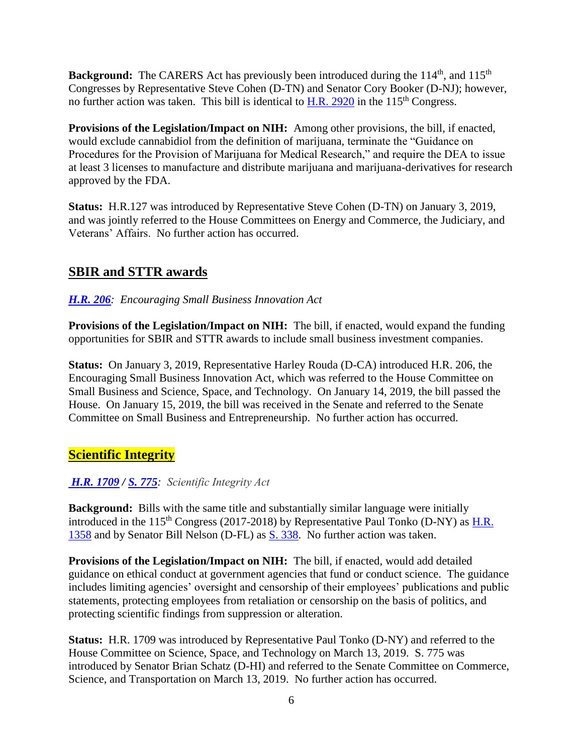**Background:** The CARERS Act has previously been introduced during the 114<sup>th</sup>, and 115<sup>th</sup> Congresses by Representative Steve Cohen (D-TN) and Senator Cory Booker (D-NJ); however, no further action was taken. This bill is identical to H.R.  $2920$  in the  $115<sup>th</sup>$  Congress.

**Provisions of the Legislation/Impact on NIH:** Among other provisions, the bill, if enacted, would exclude cannabidiol from the definition of marijuana, terminate the "Guidance on Procedures for the Provision of Marijuana for Medical Research," and require the DEA to issue at least 3 licenses to manufacture and distribute marijuana and marijuana-derivatives for research approved by the FDA.

**Status:** H.R.127 was introduced by Representative Steve Cohen (D-TN) on January 3, 2019, and was jointly referred to the House Committees on Energy and Commerce, the Judiciary, and Veterans' Affairs. No further action has occurred.

# <span id="page-5-0"></span>**[SBIR and STTR awards](https://www.congress.gov/bill/116th-congress/house-bill/206?q=%7B%22search%22%3A%5B%22HR206%22%5D%7D&s=6&r=1)**

#### *[H.R. 206](https://www.congress.gov/bill/116th-congress/house-bill/206?q=%7B%22search%22%3A%5B%22HR206%22%5D%7D&s=6&r=1): Encouraging Small Business Innovation Act*

**Provisions of the Legislation/Impact on NIH:** The bill, if enacted, would expand the funding opportunities for SBIR and STTR awards to include small business investment companies.

**Status:** On January 3, 2019, Representative Harley Rouda (D-CA) introduced H.R. 206, the Encouraging Small Business Innovation Act, which was referred to the House Committee on Small Business and Science, Space, and Technology. On January 14, 2019, the bill passed the House. On January 15, 2019, the bill was received in the Senate and referred to the Senate Committee on Small Business and Entrepreneurship. No further action has occurred.

# <span id="page-5-1"></span>**Scientific Integrity**

### *[H.R. 1709](https://www.congress.gov/bill/116th-congress/house-bill/1709/text?q=%7B%22search%22%3A%5B%22scientific+integrity%22%5D%7D&r=1&s=5) / [S. 775](https://www.congress.gov/bill/116th-congress/senate-bill/775/text): Scientific Integrity Act*

**Background:** Bills with the same title and substantially similar language were initially introduced in the  $115<sup>th</sup>$  Congress (2017-2018) by Representative Paul Tonko (D-NY) as H.R. [1358](https://www.congress.gov/bill/115th-congress/house-bill/1358?q=%7B%22search%22%3A%5B%22scientific+integrity%22%5D%7D&s=1&r=38) and by Senator Bill Nelson (D-FL) as [S. 338.](https://www.congress.gov/bill/115th-congress/senate-bill/338?q=%7B%22search%22%3A%5B%22scientific+integrity%22%5D%7D&s=1&r=37) No further action was taken.

**Provisions of the Legislation/Impact on NIH:** The bill, if enacted, would add detailed guidance on ethical conduct at government agencies that fund or conduct science. The guidance includes limiting agencies' oversight and censorship of their employees' publications and public statements, protecting employees from retaliation or censorship on the basis of politics, and protecting scientific findings from suppression or alteration.

**Status:** H.R. 1709 was introduced by Representative Paul Tonko (D-NY) and referred to the House Committee on Science, Space, and Technology on March 13, 2019. S. 775 was introduced by Senator Brian Schatz (D-HI) and referred to the Senate Committee on Commerce, Science, and Transportation on March 13, 2019. No further action has occurred.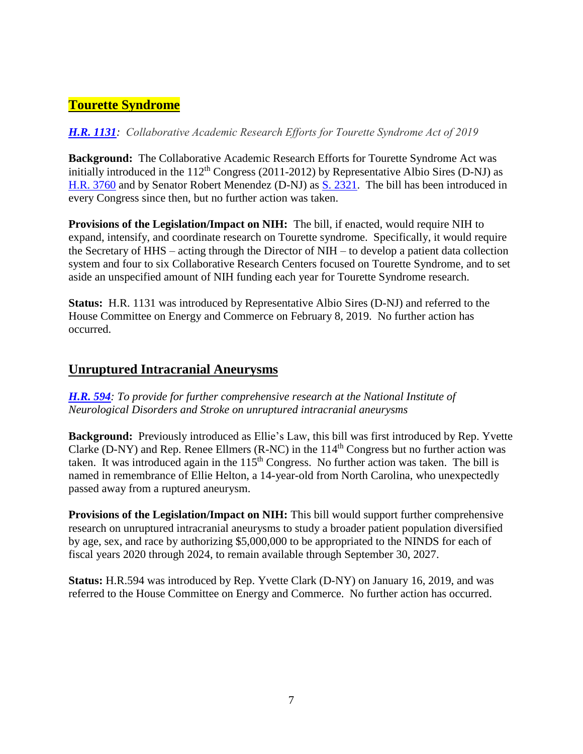# <span id="page-6-0"></span>**Tourette Syndrome**

### *[H.R. 1131](https://www.congress.gov/bill/116th-congress/house-bill/1131/text): Collaborative Academic Research Efforts for Tourette Syndrome Act of 2019*

**Background:** The Collaborative Academic Research Efforts for Tourette Syndrome Act was initially introduced in the  $112<sup>th</sup> Congress (2011-2012)$  by Representative Albio Sires (D-NJ) as [H.R. 3760](https://www.congress.gov/bill/112th-congress/house-bill/3760/text?r=56&s=1) and by Senator Robert Menendez (D-NJ) as [S. 2321.](https://www.congress.gov/bill/112th-congress/senate-bill/2321/text) The bill has been introduced in every Congress since then, but no further action was taken.

**Provisions of the Legislation/Impact on NIH:** The bill, if enacted, would require NIH to expand, intensify, and coordinate research on Tourette syndrome. Specifically, it would require the Secretary of HHS – acting through the Director of NIH – to develop a patient data collection system and four to six Collaborative Research Centers focused on Tourette Syndrome, and to set aside an unspecified amount of NIH funding each year for Tourette Syndrome research.

**Status:** H.R. 1131 was introduced by Representative Albio Sires (D-NJ) and referred to the House Committee on Energy and Commerce on February 8, 2019. No further action has occurred.

# <span id="page-6-1"></span>**Unruptured Intracranial Aneurysms**

*[H.R.](https://www.congress.gov/bill/116th-congress/house-bill/594/text?q=%7B%22search%22%3A%5B%22HR594%22%5D%7D&r=1&s=1) 594: To provide for further comprehensive research at the National Institute of Neurological Disorders and Stroke on unruptured intracranial aneurysms*

**Background:** Previously introduced as Ellie's Law, this bill was first introduced by Rep. Yvette Clarke (D-NY) and Rep. Renee Ellmers (R-NC) in the  $114<sup>th</sup>$  Congress but no further action was taken. It was introduced again in the  $115<sup>th</sup>$  Congress. No further action was taken. The bill is named in remembrance of Ellie Helton, a 14-year-old from North Carolina, who unexpectedly passed away from a ruptured aneurysm.

**Provisions of the Legislation/Impact on NIH:** This bill would support further comprehensive research on unruptured intracranial aneurysms to study a broader patient population diversified by age, sex, and race by authorizing \$5,000,000 to be appropriated to the NINDS for each of fiscal years 2020 through 2024, to remain available through September 30, 2027.

**Status:** H.R.594 was introduced by Rep. Yvette Clark (D-NY) on January 16, 2019, and was referred to the House Committee on Energy and Commerce. No further action has occurred.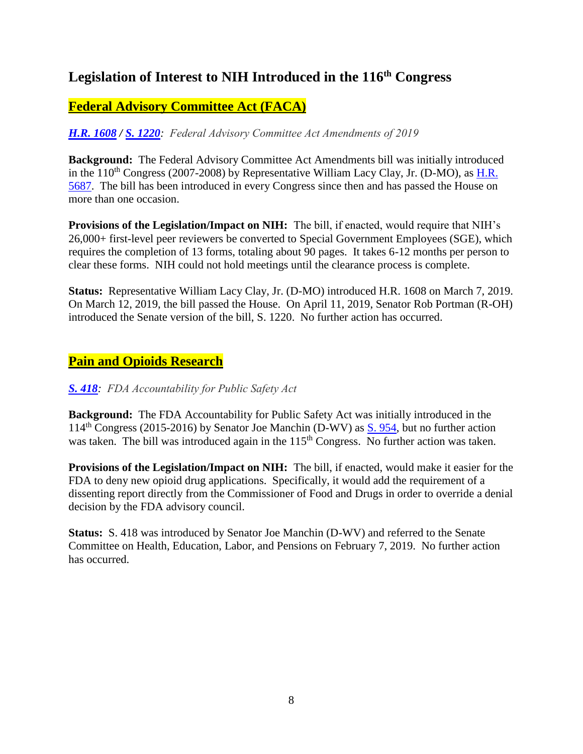# <span id="page-7-0"></span>**Legislation of Interest to NIH Introduced in the 116th Congress**

# <span id="page-7-1"></span>**Federal Advisory Committee Act (FACA)**

*[H.R. 1](https://www.congress.gov/bill/116th-congress/house-bill/1608/text)608 / [S. 1220](https://www.congress.gov/bill/116th-congress/senate-bill/1220/text): Federal Advisory Committee Act Amendments of 2019*

**Background:** The Federal Advisory Committee Act Amendments bill was initially introduced in the  $110^{th}$  Congress (2007-2008) by Representative William Lacy Clay, Jr. (D-MO), as H.R. [5687.](https://www.congress.gov/bill/110th-congress/house-bill/5687/text) The bill has been introduced in every Congress since then and has passed the House on more than one occasion.

**Provisions of the Legislation/Impact on NIH:** The bill, if enacted, would require that NIH's 26,000+ first-level peer reviewers be converted to Special Government Employees (SGE), which requires the completion of 13 forms, totaling about 90 pages. It takes 6-12 months per person to clear these forms. NIH could not hold meetings until the clearance process is complete.

**Status:** Representative William Lacy Clay, Jr. (D-MO) introduced H.R. 1608 on March 7, 2019. On March 12, 2019, the bill passed the House. On April 11, 2019, Senator Rob Portman (R-OH) introduced the Senate version of the bill, S. 1220. No further action has occurred.

# <span id="page-7-2"></span>**Pain and Opioids Research**

### *[S. 418](https://www.congress.gov/bill/116th-congress/senate-bill/418/text?q=%7B%22search%22%3A%5B%22S418%22%5D%7D&r=1&s=1): FDA Accountability for Public Safety Act*

**Background:** The FDA Accountability for Public Safety Act was initially introduced in the 114<sup>th</sup> Congress (2015-2016) by Senator Joe Manchin (D-WV) as  $\underline{S. 954}$ , but no further action was taken. The bill was introduced again in the 115<sup>th</sup> Congress. No further action was taken.

**Provisions of the Legislation/Impact on NIH:** The bill, if enacted, would make it easier for the FDA to deny new opioid drug applications. Specifically, it would add the requirement of a dissenting report directly from the Commissioner of Food and Drugs in order to override a denial decision by the FDA advisory council.

**Status:** S. 418 was introduced by Senator Joe Manchin (D-WV) and referred to the Senate Committee on Health, Education, Labor, and Pensions on February 7, 2019. No further action has occurred.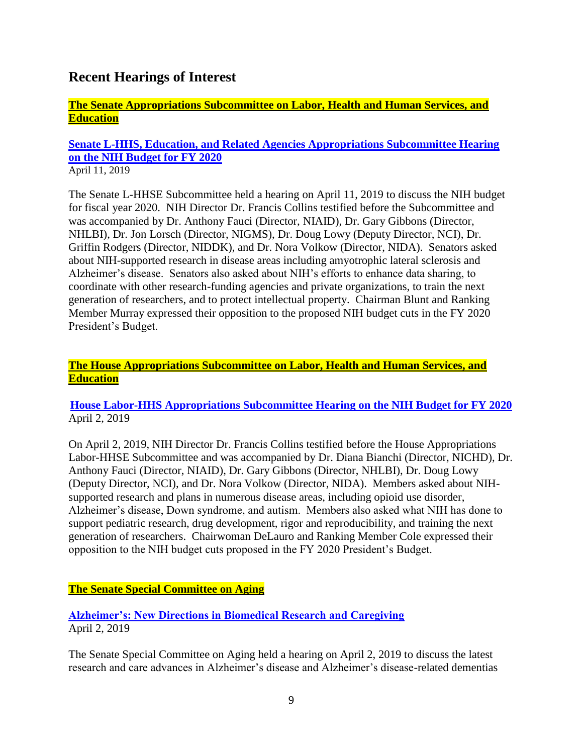# <span id="page-8-0"></span>**Recent Hearings of Interest**

### <span id="page-8-1"></span>**The Senate Appropriations Subcommittee on Labor, Health and Human Services, and Education**

#### **[Senate L-HHS, Education, and Related Agencies Appropriations Subcommittee Hearing](https://www.appropriations.senate.gov/hearings/review-of-the-fy2020-budget-request-for-nih)  [on the NIH Budget for FY 2020](https://www.appropriations.senate.gov/hearings/review-of-the-fy2020-budget-request-for-nih)** April 11, 2019

The Senate L-HHSE Subcommittee held a hearing on April 11, 2019 to discuss the NIH budget for fiscal year 2020. NIH Director Dr. Francis Collins testified before the Subcommittee and was accompanied by Dr. Anthony Fauci (Director, NIAID), Dr. Gary Gibbons (Director, NHLBI), Dr. Jon Lorsch (Director, NIGMS), Dr. Doug Lowy (Deputy Director, NCI), Dr. Griffin Rodgers (Director, NIDDK), and Dr. Nora Volkow (Director, NIDA). Senators asked about NIH-supported research in disease areas including amyotrophic lateral sclerosis and Alzheimer's disease. Senators also asked about NIH's efforts to enhance data sharing, to coordinate with other research-funding agencies and private organizations, to train the next generation of researchers, and to protect intellectual property. Chairman Blunt and Ranking Member Murray expressed their opposition to the proposed NIH budget cuts in the FY 2020 President's Budget.

#### <span id="page-8-2"></span>**The House Appropriations Subcommittee on Labor, Health and Human Services, and Education**

#### **[House Labor-HHS Appropriations Subcommittee Hearing on the NIH Budget for FY 2020](https://appropriations.house.gov/legislation/hearings/national-institutes-of-health-budget-request-for-fy-2020)** April 2, 2019

On April 2, 2019, NIH Director Dr. Francis Collins testified before the House Appropriations Labor-HHSE Subcommittee and was accompanied by Dr. Diana Bianchi (Director, NICHD), Dr. Anthony Fauci (Director, NIAID), Dr. Gary Gibbons (Director, NHLBI), Dr. Doug Lowy (Deputy Director, NCI), and Dr. Nora Volkow (Director, NIDA). Members asked about NIHsupported research and plans in numerous disease areas, including opioid use disorder, Alzheimer's disease, Down syndrome, and autism. Members also asked what NIH has done to support pediatric research, drug development, rigor and reproducibility, and training the next generation of researchers. Chairwoman DeLauro and Ranking Member Cole expressed their opposition to the NIH budget cuts proposed in the FY 2020 President's Budget.

### <span id="page-8-3"></span>**The Senate Special Committee on Aging**

### **[Alzheimer's: New Directions in Biomedical Research and Caregiving](https://www.aging.senate.gov/hearings/alzheimers-new-directions-in-biomedical-research-and-caregiving)** April 2, 2019

The Senate Special Committee on Aging held a hearing on April 2, 2019 to discuss the latest research and care advances in Alzheimer's disease and Alzheimer's disease-related dementias